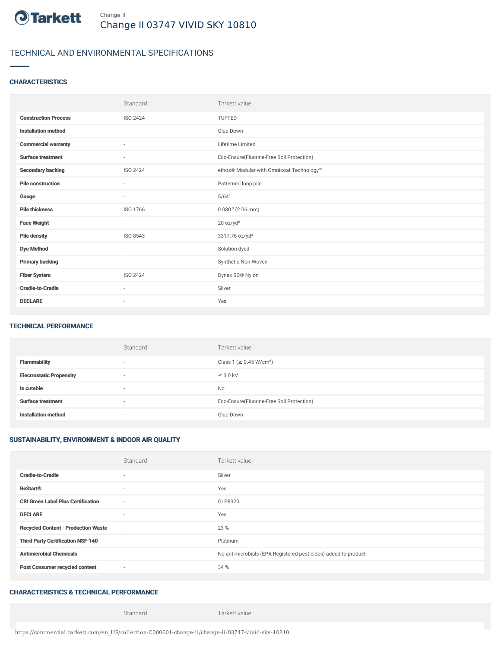

### TECHNICAL AND ENVIRONMENTAL SPECIFICATIONS

#### **CHARACTERISTICS**

|                             | Standard                 | Tarkett value                             |
|-----------------------------|--------------------------|-------------------------------------------|
| <b>Construction Process</b> | ISO 2424                 | <b>TUFTED</b>                             |
| <b>Installation method</b>  | $\overline{\phantom{a}}$ | Glue-Down                                 |
| <b>Commercial warranty</b>  | ×                        | Lifetime Limited                          |
| <b>Surface treatment</b>    | ٠                        | Eco-Ensure(Fluorine-Free Soil Protection) |
| <b>Secondary backing</b>    | ISO 2424                 | ethos® Modular with Omnicoat Technology™  |
| <b>Pile construction</b>    | ٠                        | Patterned loop pile                       |
| Gauge                       | ٠                        | 5/64"                                     |
| <b>Pile thickness</b>       | ISO 1766                 | $0.080$ " (2.06 mm)                       |
| <b>Face Weight</b>          | $\sim$                   | 20 oz/yd <sup>2</sup>                     |
| <b>Pile density</b>         | ISO 8543                 | 3317.76 oz/yd <sup>3</sup>                |
| <b>Dye Method</b>           | $\sim$                   | Solution dyed                             |
| <b>Primary backing</b>      | ٠                        | Synthetic Non-Woven                       |
| <b>Fiber System</b>         | ISO 2424                 | Dynex SD® Nylon                           |
| <b>Cradle-to-Cradle</b>     | ٠                        | Silver                                    |
| <b>DECLARE</b>              | $\overline{\phantom{a}}$ | Yes                                       |

#### TECHNICAL PERFORMANCE

|                                 | Standard                 | Tarkett value                             |
|---------------------------------|--------------------------|-------------------------------------------|
| Flammability                    | ۰                        | Class 1 (≥ 0.45 W/cm <sup>2</sup> )       |
| <b>Electrostatic Propensity</b> | $\overline{\phantom{a}}$ | $\leq$ 3.0 kV                             |
| Is cutable                      | $\overline{\phantom{a}}$ | No                                        |
| <b>Surface treatment</b>        | $\overline{\phantom{a}}$ | Eco-Ensure(Fluorine-Free Soil Protection) |
| <b>Installation method</b>      |                          | Glue-Down                                 |

#### SUSTAINABILITY, ENVIRONMENT & INDOOR AIR QUALITY

|                                            | Standard                 | Tarkett value                                                  |
|--------------------------------------------|--------------------------|----------------------------------------------------------------|
| <b>Cradle-to-Cradle</b>                    | ٠                        | Silver                                                         |
| <b>ReStart®</b>                            | $\sim$                   | Yes                                                            |
| <b>CRI Green Label Plus Certification</b>  | $\overline{\phantom{a}}$ | GLP8320                                                        |
| <b>DECLARE</b>                             | $\sim$                   | Yes                                                            |
| <b>Recycled Content - Production Waste</b> | $\sim$                   | 23 %                                                           |
| <b>Third Party Certification NSF-140</b>   | $\sim$                   | Platinum                                                       |
| <b>Antimicrobial Chemicals</b>             | $\sim$                   | No antimicrobials (EPA Registered pesticides) added to product |
| <b>Post Consumer recycled content</b>      | $\sim$                   | 34 %                                                           |

#### CHARACTERISTICS & TECHNICAL PERFORMANCE

Standard Tarkett value